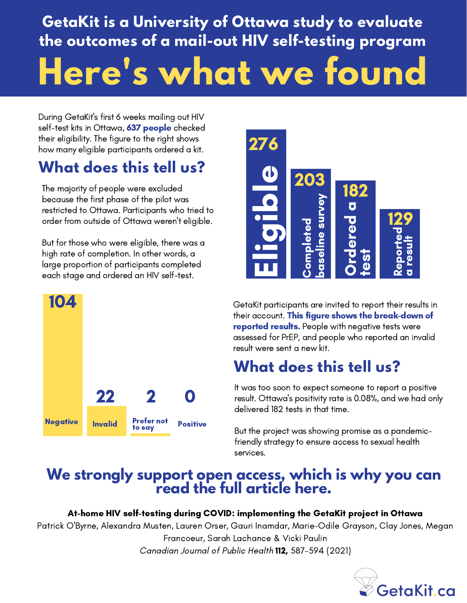# **GetaKit is a University of Ottawa study to evaluate the outcomes of a mail-out HIV self-testing program Here's what we found**

During GetaKit's first 6 weeks mailing out HIV self-test kits in Ottawa, 637 people checked their eligibility. The figure to the right shows how many eligible participants ordered a kit.

## **What does this tell us?**

The majority of people were excluded because the first phase of the pilot was restricted to Ottawa. Participants who tried to order from outside of Ottawa weren't eligible.

But for those who were eligible, there was a high rate of completion. In other words, a large proportion of participants completed each stage and ordered an HIV self-test.





GetaKit participants are invited to report their results in their account. This figure shows the break-down of reported results. People with negative tests were assessed for PrEP, and people who reported an invalid result were sent a new kit.

## **What does this tell us?**

It was too soon to expect someone to report a positive result. Ottawa's positivity rate is 0.08%, and we had only delivered 182 tests in that time.

But the project was showing promise as a pandemicfriendly strategy to ensure access to sexual health services.

## **We strongly support open access, which is why you can read the full article here.**

### At-home HIV self-testing during COVID: implementing the GetaKit project in Ottawa

Patrick O'Byrne, Alexandra Musten, Lauren Orser, Gauri Inamdar, Marie-Odile Grayson, Clay Jones, Megan Francoeur, Sarah Lachance & Vicki Paulin Canadian Journal of Public Health 112, 587-594 (2021)

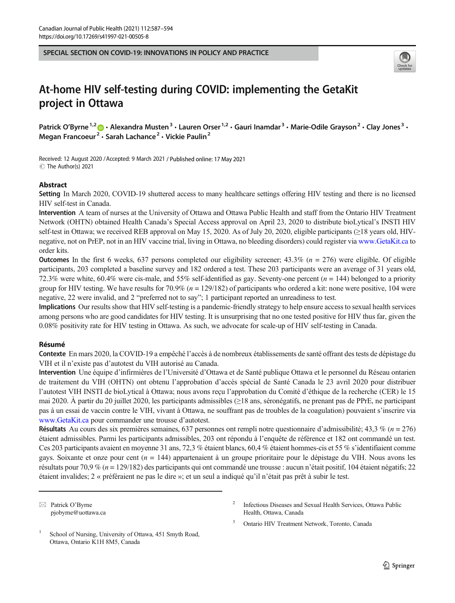SPECIAL SECTION ON COVID-19: INNOVATIONS IN POLICY AND PRACTICE



### At-home HIV self-testing during COVID: implementing the GetaKit project in Ottawa

Patrick O'Byrne<sup>1,2</sup>  $\cdot$  Alexandra Musten<sup>3</sup>  $\cdot$  Lauren Orser<sup>1,2</sup>  $\cdot$  Gauri Inamdar<sup>3</sup>  $\cdot$  Marie-Odile Grayson<sup>2</sup>  $\cdot$  Clay Jones<sup>3</sup>  $\cdot$ Megan Francoeur<sup>2</sup> · Sarah Lachance<sup>2</sup> · Vickie Paulin<sup>2</sup>

Received: 12 August 2020 /Accepted: 9 March 2021 / Published online: 17 May 2021 C The Author(s) 2021

#### Abstract

Setting In March 2020, COVID-19 shuttered access to many healthcare settings offering HIV testing and there is no licensed HIV self-test in Canada.

Intervention A team of nurses at the University of Ottawa and Ottawa Public Health and staff from the Ontario HIV Treatment Network (OHTN) obtained Health Canada's Special Access approval on April 23, 2020 to distribute bioLytical's INSTI HIV self-test in Ottawa; we received REB approval on May 15, 2020. As of July 20, 2020, eligible participants (≥18 years old, HIVnegative, not on PrEP, not in an HIV vaccine trial, living in Ottawa, no bleeding disorders) could register via [www.GetaKit.ca](http://www.getakit.ca) to order kits.

**Outcomes** In the first 6 weeks, 637 persons completed our eligibility screener; 43.3% ( $n = 276$ ) were eligible. Of eligible participants, 203 completed a baseline survey and 182 ordered a test. These 203 participants were an average of 31 years old, 72.3% were white, 60.4% were cis-male, and 55% self-identified as gay. Seventy-one percent ( $n = 144$ ) belonged to a priority group for HIV testing. We have results for  $70.9\%$  ( $n = 129/182$ ) of participants who ordered a kit: none were positive, 104 were negative, 22 were invalid, and 2 "preferred not to say"; 1 participant reported an unreadiness to test.

Implications Our results show that HIV self-testing is a pandemic-friendly strategy to help ensure access to sexual health services among persons who are good candidates for HIV testing. It is unsurprising that no one tested positive for HIV thus far, given the 0.08% positivity rate for HIV testing in Ottawa. As such, we advocate for scale-up of HIV self-testing in Canada.

#### Résumé

Contexte En mars 2020, la COVID-19 a empêché l'accès à de nombreux établissements de santé offrant des tests de dépistage du VIH et il n'existe pas d'autotest du VIH autorisé au Canada.

Intervention Une équipe d'infirmières de l'Université d'Ottawa et de Santé publique Ottawa et le personnel du Réseau ontarien de traitement du VIH (OHTN) ont obtenu l'approbation d'accès spécial de Santé Canada le 23 avril 2020 pour distribuer l'autotest VIH INSTI de bioLytical à Ottawa; nous avons reçu l'approbation du Comité d'éthique de la recherche (CER) le 15 mai 2020. À partir du 20 juillet 2020, les participants admissibles (≥18 ans, séronégatifs, ne prenant pas de PPrE, ne participant pas à un essai de vaccin contre le VIH, vivant à Ottawa, ne souffrant pas de troubles de la coagulation) pouvaient s'inscrire via [www.GetaKit.ca](http://www.getakit.ca) pour commander une trousse d'autotest.

Résultats Au cours des six premières semaines, 637 personnes ont rempli notre questionnaire d'admissibilité; 43,3 % ( $n = 276$ ) étaient admissibles. Parmi les participants admissibles, 203 ont répondu à l'enquête de référence et 182 ont commandé un test. Ces 203 participants avaient en moyenne 31 ans, 72,3 % étaient blancs, 60,4 % étaient hommes-cis et 55 % s'identifiaient comme gays. Soixante et onze pour cent ( $n = 144$ ) appartenaient à un groupe prioritaire pour le dépistage du VIH. Nous avons les résultats pour 70,9 % (n = 129/182) des participants qui ont commandé une trousse : aucun n'était positif, 104 étaient négatifs; 22 étaient invalides; 2 « préféraient ne pas le dire »; et un seul a indiqué qu'il n'était pas prêt à subir le test.

 $\boxtimes$  Patrick O'Byrne [pjobyrne@uottawa.ca](mailto:pjobyrne@uottawa.ca)

- <sup>2</sup> Infectious Diseases and Sexual Health Services, Ottawa Public Health, Ottawa, Canada
- <sup>3</sup> Ontario HIV Treatment Network, Toronto, Canada

<sup>&</sup>lt;sup>1</sup> School of Nursing, University of Ottawa, 451 Smyth Road, Ottawa, Ontario K1H 8M5, Canada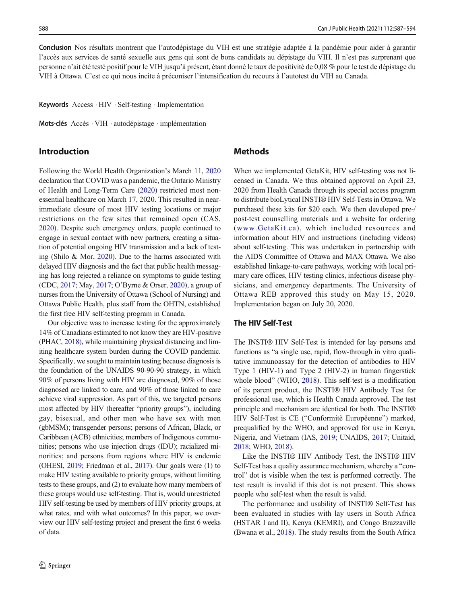Conclusion Nos résultats montrent que l'autodépistage du VIH est une stratégie adaptée à la pandémie pour aider à garantir l'accès aux services de santé sexuelle aux gens qui sont de bons candidats au dépistage du VIH. Il n'est pas surprenant que personne n'ait été testé positif pour le VIH jusqu'à présent, étant donné le taux de positivité de 0,08 % pour le test de dépistage du VIH à Ottawa. C'est ce qui nous incite à préconiser l'intensification du recours à l'autotest du VIH au Canada.

Keywords Access . HIV . Self-testing . Implementation

Mots-clés Accès . VIH . autodépistage . implémentation

#### Introduction

Following the World Health Organization's March 11, 2020 declaration that COVID was a pandemic, the Ontario Ministry of Health and Long-Term Care (2020) restricted most nonessential healthcare on March 17, 2020. This resulted in nearimmediate closure of most HIV testing locations or major restrictions on the few sites that remained open (CAS, 2020). Despite such emergency orders, people continued to engage in sexual contact with new partners, creating a situation of potential ongoing HIV transmission and a lack of testing (Shilo & Mor, 2020). Due to the harms associated with delayed HIV diagnosis and the fact that public health messaging has long rejected a reliance on symptoms to guide testing (CDC, 2017; May, 2017; O'Byrne & Orser, 2020), a group of nurses from the University of Ottawa (School of Nursing) and Ottawa Public Health, plus staff from the OHTN, established the first free HIV self-testing program in Canada.

Our objective was to increase testing for the approximately 14% of Canadians estimated to not know they are HIV-positive (PHAC, 2018), while maintaining physical distancing and limiting healthcare system burden during the COVID pandemic. Specifically, we sought to maintain testing because diagnosis is the foundation of the UNAIDS 90-90-90 strategy, in which 90% of persons living with HIV are diagnosed, 90% of those diagnosed are linked to care, and 90% of those linked to care achieve viral suppression. As part of this, we targeted persons most affected by HIV (hereafter "priority groups"), including gay, bisexual, and other men who have sex with men (gbMSM); transgender persons; persons of African, Black, or Caribbean (ACB) ethnicities; members of Indigenous communities; persons who use injection drugs (IDU); racialized minorities; and persons from regions where HIV is endemic (OHESI, 2019; Friedman et al., 2017). Our goals were (1) to make HIV testing available to priority groups, without limiting tests to these groups, and (2) to evaluate how many members of these groups would use self-testing. That is, would unrestricted HIV self-testing be used by members of HIV priority groups, at what rates, and with what outcomes? In this paper, we overview our HIV self-testing project and present the first 6 weeks of data.

#### Methods

When we implemented GetaKit, HIV self-testing was not licensed in Canada. We thus obtained approval on April 23, 2020 from Health Canada through its special access program to distribute bioLytical INSTI® HIV Self-Tests in Ottawa. We purchased these kits for \$20 each. We then developed pre-/ post-test counselling materials and a website for ordering ([www.GetaKit.ca](http://www.getakit.ca)), which included resources and information about HIV and instructions (including videos) about self-testing. This was undertaken in partnership with the AIDS Committee of Ottawa and MAX Ottawa. We also established linkage-to-care pathways, working with local primary care offices, HIV testing clinics, infectious disease physicians, and emergency departments. The University of Ottawa REB approved this study on May 15, 2020. Implementation began on July 20, 2020.

#### The HIV Self-Test

The INSTI® HIV Self-Test is intended for lay persons and functions as "a single use, rapid, flow-through in vitro qualitative immunoassay for the detection of antibodies to HIV Type 1 (HIV-1) and Type 2 (HIV-2) in human fingerstick whole blood" (WHO, 2018). This self-test is a modification of its parent product, the INSTI® HIV Antibody Test for professional use, which is Health Canada approved. The test principle and mechanism are identical for both. The INSTI® HIV Self-Test is CE ("Conformitè Europëenne") marked, prequalified by the WHO, and approved for use in Kenya, Nigeria, and Vietnam (IAS, 2019; UNAIDS, 2017; Unitaid, 2018; WHO, 2018).

Like the INSTI® HIV Antibody Test, the INSTI® HIV Self-Test has a quality assurance mechanism, whereby a "control" dot is visible when the test is performed correctly. The test result is invalid if this dot is not present. This shows people who self-test when the result is valid.

The performance and usability of INSTI® Self-Test has been evaluated in studies with lay users in South Africa (HSTAR I and II), Kenya (KEMRI), and Congo Brazzaville (Bwana et al., 2018). The study results from the South Africa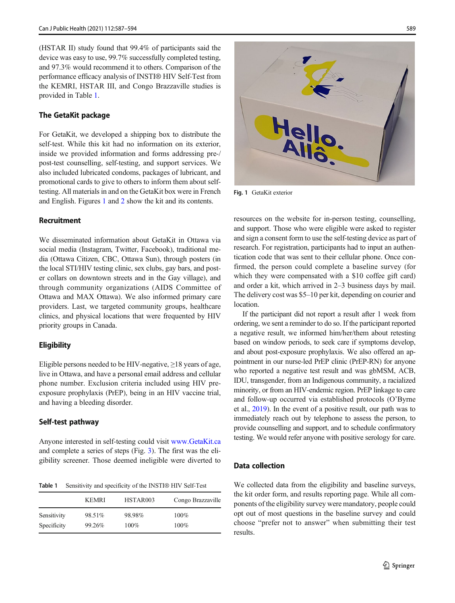(HSTAR II) study found that 99.4% of participants said the device was easy to use, 99.7% successfully completed testing, and 97.3% would recommend it to others. Comparison of the performance efficacy analysis of INSTI® HIV Self-Test from the KEMRI, HSTAR III, and Congo Brazzaville studies is provided in Table 1.

#### The GetaKit package

For GetaKit, we developed a shipping box to distribute the self-test. While this kit had no information on its exterior, inside we provided information and forms addressing pre-/ post-test counselling, self-testing, and support services. We also included lubricated condoms, packages of lubricant, and promotional cards to give to others to inform them about selftesting. All materials in and on the GetaKit box were in French and English. Figures 1 and 2 show the kit and its contents.

#### Recruitment

We disseminated information about GetaKit in Ottawa via social media (Instagram, Twitter, Facebook), traditional media (Ottawa Citizen, CBC, Ottawa Sun), through posters (in the local STI/HIV testing clinic, sex clubs, gay bars, and poster collars on downtown streets and in the Gay village), and through community organizations (AIDS Committee of Ottawa and MAX Ottawa). We also informed primary care providers. Last, we targeted community groups, healthcare clinics, and physical locations that were frequented by HIV priority groups in Canada.

#### **Eligibility**

Eligible persons needed to be HIV-negative,  $\geq$ 18 years of age, live in Ottawa, and have a personal email address and cellular phone number. Exclusion criteria included using HIV preexposure prophylaxis (PrEP), being in an HIV vaccine trial, and having a bleeding disorder.

#### Self-test pathway

Anyone interested in self-testing could visit [www.GetaKit.ca](http://www.getakit.ca) and complete a series of steps (Fig. 3). The first was the eligibility screener. Those deemed ineligible were diverted to

Table 1 Sensitivity and specificity of the INSTI® HIV Self-Test

|             | <b>KEMRI</b> | HSTAR003 | Congo Brazzaville |
|-------------|--------------|----------|-------------------|
| Sensitivity | 98.51%       | 98.98%   | $100\%$           |
| Specificity | 99.26%       | $100\%$  | $100\%$           |



Fig. 1 GetaKit exterior

resources on the website for in-person testing, counselling, and support. Those who were eligible were asked to register and sign a consent form to use the self-testing device as part of research. For registration, participants had to input an authentication code that was sent to their cellular phone. Once confirmed, the person could complete a baseline survey (for which they were compensated with a \$10 coffee gift card) and order a kit, which arrived in 2–3 business days by mail. The delivery cost was \$5–10 per kit, depending on courier and location.

If the participant did not report a result after 1 week from ordering, we sent a reminder to do so. If the participant reported a negative result, we informed him/her/them about retesting based on window periods, to seek care if symptoms develop, and about post-exposure prophylaxis. We also offered an appointment in our nurse-led PrEP clinic (PrEP-RN) for anyone who reported a negative test result and was gbMSM, ACB, IDU, transgender, from an Indigenous community, a racialized minority, or from an HIV-endemic region. PrEP linkage to care and follow-up occurred via established protocols (O'Byrne et al., 2019). In the event of a positive result, our path was to immediately reach out by telephone to assess the person, to provide counselling and support, and to schedule confirmatory testing. We would refer anyone with positive serology for care.

#### Data collection

We collected data from the eligibility and baseline surveys, the kit order form, and results reporting page. While all components of the eligibility survey were mandatory, people could opt out of most questions in the baseline survey and could choose "prefer not to answer" when submitting their test results.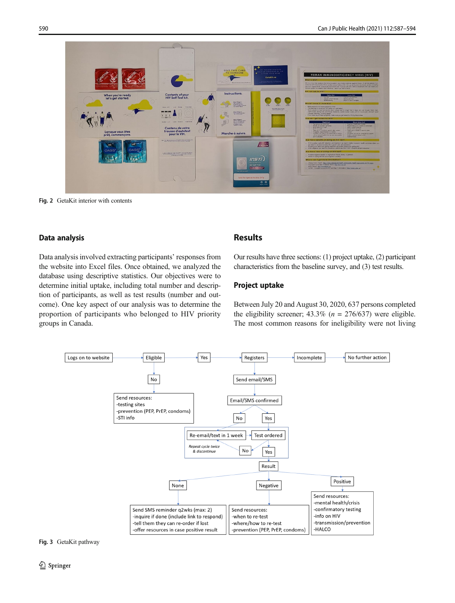

Fig. 2 GetaKit interior with contents

#### Data analysis

Data analysis involved extracting participants' responses from the website into Excel files. Once obtained, we analyzed the database using descriptive statistics. Our objectives were to determine initial uptake, including total number and description of participants, as well as test results (number and outcome). One key aspect of our analysis was to determine the proportion of participants who belonged to HIV priority groups in Canada.

#### Results

Our results have three sections: (1) project uptake, (2) participant characteristics from the baseline survey, and (3) test results.

#### Project uptake

Between July 20 and August 30, 2020, 637 persons completed the eligibility screener;  $43.3\%$  ( $n = 276/637$ ) were eligible. The most common reasons for ineligibility were not living



#### Fig. 3 GetaKit pathway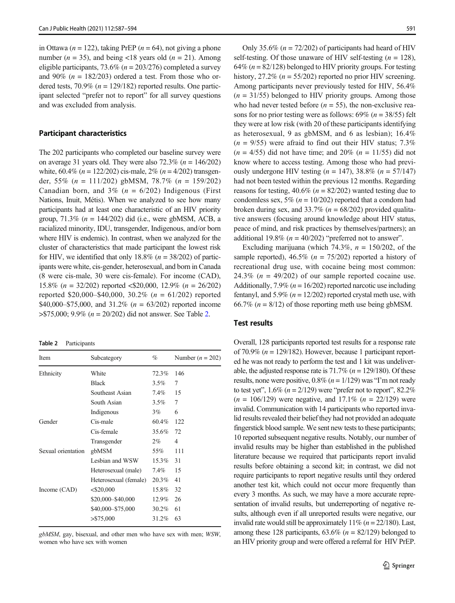in Ottawa ( $n = 122$ ), taking PrEP ( $n = 64$ ), not giving a phone number ( $n = 35$ ), and being <18 years old ( $n = 21$ ). Among eligible participants, 73.6% ( $n = 203/276$ ) completed a survey and 90% ( $n = 182/203$ ) ordered a test. From those who ordered tests,  $70.9\%$  ( $n = 129/182$ ) reported results. One participant selected "prefer not to report" for all survey questions and was excluded from analysis.

#### Participant characteristics

The 202 participants who completed our baseline survey were on average 31 years old. They were also  $72.3\%$  ( $n = 146/202$ ) white,  $60.4\%$  ( $n = 122/202$ ) cis-male,  $2\%$  ( $n = 4/202$ ) transgender, 55% ( $n = 111/202$ ) gbMSM, 78.7% ( $n = 159/202$ ) Canadian born, and  $3\%$  ( $n = 6/202$ ) Indigenous (First Nations, Inuit, Métis). When we analyzed to see how many participants had at least one characteristic of an HIV priority group,  $71.3\%$  ( $n = 144/202$ ) did (i.e., were gbMSM, ACB, a racialized minority, IDU, transgender, Indigenous, and/or born where HIV is endemic). In contrast, when we analyzed for the cluster of characteristics that made participant the lowest risk for HIV, we identified that only  $18.8\%$  ( $n = 38/202$ ) of participants were white, cis-gender, heterosexual, and born in Canada (8 were cis-male, 30 were cis-female). For income (CAD), 15.8% (n = 32/202) reported <\$20,000, 12.9% (n = 26/202) reported \$20,000–\$40,000, 30.2% ( $n = 61/202$ ) reported \$40,000–\$75,000, and 31.2% ( $n = 63/202$ ) reported income  $> $75,000; 9.9\%$  ( $n = 20/202$ ) did not answer. See Table 2.

Table 2 Participants

| <b>Item</b>        | Subcategory           | %       | Number $(n = 202)$ |
|--------------------|-----------------------|---------|--------------------|
| Ethnicity          | White                 | 72.3%   | 146                |
|                    | <b>Black</b>          | $3.5\%$ | 7                  |
|                    | Southeast Asian       | 7.4%    | 15                 |
|                    | South Asian           | $3.5\%$ | 7                  |
|                    | Indigenous            | $3\%$   | 6                  |
| Gender             | Cis-male              | 60.4%   | 122                |
|                    | Cis-female            | 35.6%   | 72                 |
|                    | Transgender           | $2\%$   | $\overline{4}$     |
| Sexual orientation | gbMSM                 | 55%     | 111                |
|                    | Lesbian and WSW       | 15.3%   | 31                 |
|                    | Heterosexual (male)   | 7.4%    | 15                 |
|                    | Heterosexual (female) | 20.3%   | 41                 |
| Income $(CAD)$     | $<$ \$20,000          | 15.8%   | 32                 |
|                    | \$20,000-\$40,000     | 12.9%   | 26                 |
|                    | \$40,000 - \$75,000   | 30.2%   | 61                 |
|                    | $>$ \$75,000          | 31.2%   | 63                 |
|                    |                       |         |                    |

gbMSM, gay, bisexual, and other men who have sex with men; WSW, women who have sex with women

Only 35.6% ( $n = 72/202$ ) of participants had heard of HIV self-testing. Of those unaware of HIV self-testing  $(n = 128)$ , 64% ( $n = 82/128$ ) belonged to HIV priority groups. For testing history, 27.2% ( $n = 55/202$ ) reported no prior HIV screening. Among participants never previously tested for HIV, 56.4%  $(n = 31/55)$  belonged to HIV priority groups. Among those who had never tested before  $(n = 55)$ , the non-exclusive reasons for no prior testing were as follows:  $69\%$  ( $n = 38/55$ ) felt they were at low risk (with 20 of these participants identifying as heterosexual, 9 as gbMSM, and 6 as lesbian); 16.4%  $(n = 9/55)$  were afraid to find out their HIV status; 7.3%  $(n = 4/55)$  did not have time; and 20%  $(n = 11/55)$  did not know where to access testing. Among those who had previously undergone HIV testing ( $n = 147$ ), 38.8% ( $n = 57/147$ ) had not been tested within the previous 12 months. Regarding reasons for testing,  $40.6\%$  ( $n = 82/202$ ) wanted testing due to condomless sex, 5% ( $n = 10/202$ ) reported that a condom had broken during sex, and 33.7% ( $n = 68/202$ ) provided qualitative answers (focusing around knowledge about HIV status, peace of mind, and risk practices by themselves/partners); an additional 19.8% ( $n = 40/202$ ) "preferred not to answer".

Excluding marijuana (which 74.3%,  $n = 150/202$ , of the sample reported),  $46.5\%$  ( $n = 75/202$ ) reported a history of recreational drug use, with cocaine being most common: 24.3% ( $n = 49/202$ ) of our sample reported cocaine use. Additionally,  $7.9\%$  ( $n = 16/202$ ) reported narcotic use including fentanyl, and  $5.9\%$  ( $n = 12/202$ ) reported crystal meth use, with 66.7% ( $n = 8/12$ ) of those reporting meth use being gbMSM.

#### Test results

Overall, 128 participants reported test results for a response rate of 70.9% ( $n = 129/182$ ). However, because 1 participant reported he was not ready to perform the test and 1 kit was undeliverable, the adjusted response rate is  $71.7\%$  ( $n = 129/180$ ). Of these results, none were positive,  $0.8\%$  ( $n = 1/129$ ) was "I'm not ready to test yet",  $1.6\%$  ( $n = 2/129$ ) were "prefer not to report",  $82.2\%$  $(n = 106/129)$  were negative, and 17.1%  $(n = 22/129)$  were invalid. Communication with 14 participants who reported invalid results revealed their belief they had not provided an adequate fingerstick blood sample. We sent new tests to these participants; 10 reported subsequent negative results. Notably, our number of invalid results may be higher than established in the published literature because we required that participants report invalid results before obtaining a second kit; in contrast, we did not require participants to report negative results until they ordered another test kit, which could not occur more frequently than every 3 months. As such, we may have a more accurate representation of invalid results, but underreporting of negative results, although even if all unreported results were negative, our invalid rate would still be approximately  $11\%$  ( $n = 22/180$ ). Last, among these 128 participants,  $63.6\%$  ( $n = 82/129$ ) belonged to an HIV priority group and were offered a referral for HIV PrEP.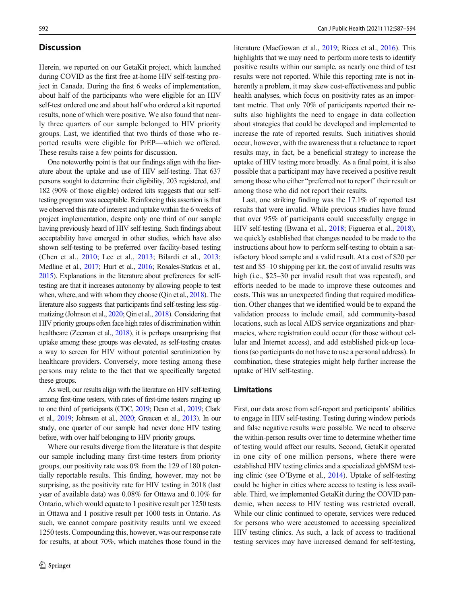#### **Discussion**

Herein, we reported on our GetaKit project, which launched during COVID as the first free at-home HIV self-testing project in Canada. During the first 6 weeks of implementation, about half of the participants who were eligible for an HIV self-test ordered one and about half who ordered a kit reported results, none of which were positive. We also found that nearly three quarters of our sample belonged to HIV priority groups. Last, we identified that two thirds of those who reported results were eligible for PrEP—which we offered. These results raise a few points for discussion.

One noteworthy point is that our findings align with the literature about the uptake and use of HIV self-testing. That 637 persons sought to determine their eligibility, 203 registered, and 182 (90% of those eligible) ordered kits suggests that our selftesting program was acceptable. Reinforcing this assertion is that we observed this rate of interest and uptake within the 6 weeks of project implementation, despite only one third of our sample having previously heard of HIV self-testing. Such findings about acceptability have emerged in other studies, which have also shown self-testing to be preferred over facility-based testing (Chen et al., 2010; Lee et al., 2013; Bilardi et al., 2013; Medline et al., 2017; Hurt et al., 2016; Rosales-Statkus et al., 2015). Explanations in the literature about preferences for selftesting are that it increases autonomy by allowing people to test when, where, and with whom they choose (Qin et al., 2018). The literature also suggests that participants find self-testing less stigmatizing (Johnson et al., 2020; Qin et al., 2018). Considering that HIV priority groups often face high rates of discrimination within healthcare (Zeeman et al., 2018), it is perhaps unsurprising that uptake among these groups was elevated, as self-testing creates a way to screen for HIV without potential scrutinization by healthcare providers. Conversely, more testing among these persons may relate to the fact that we specifically targeted these groups.

As well, our results align with the literature on HIV self-testing among first-time testers, with rates of first-time testers ranging up to one third of participants (CDC, 2019; Dean et al., 2019; Clark et al., 2019; Johnson et al., 2020; Greacen et al., 2013). In our study, one quarter of our sample had never done HIV testing before, with over half belonging to HIV priority groups.

Where our results diverge from the literature is that despite our sample including many first-time testers from priority groups, our positivity rate was 0% from the 129 of 180 potentially reportable results. This finding, however, may not be surprising, as the positivity rate for HIV testing in 2018 (last year of available data) was 0.08% for Ottawa and 0.10% for Ontario, which would equate to 1 positive result per 1250 tests in Ottawa and 1 positive result per 1000 tests in Ontario. As such, we cannot compare positivity results until we exceed 1250 tests. Compounding this, however, was our response rate for results, at about 70%, which matches those found in the

literature (MacGowan et al., 2019; Ricca et al., 2016). This highlights that we may need to perform more tests to identify positive results within our sample, as nearly one third of test results were not reported. While this reporting rate is not inherently a problem, it may skew cost-effectiveness and public health analyses, which focus on positivity rates as an important metric. That only 70% of participants reported their results also highlights the need to engage in data collection about strategies that could be developed and implemented to increase the rate of reported results. Such initiatives should occur, however, with the awareness that a reluctance to report results may, in fact, be a beneficial strategy to increase the uptake of HIV testing more broadly. As a final point, it is also possible that a participant may have received a positive result among those who either "preferred not to report" their result or among those who did not report their results.

Last, one striking finding was the 17.1% of reported test results that were invalid. While previous studies have found that over 95% of participants could successfully engage in HIV self-testing (Bwana et al., 2018; Figueroa et al., 2018), we quickly established that changes needed to be made to the instructions about how to perform self-testing to obtain a satisfactory blood sample and a valid result. At a cost of \$20 per test and \$5–10 shipping per kit, the cost of invalid results was high (i.e., \$25–30 per invalid result that was repeated), and efforts needed to be made to improve these outcomes and costs. This was an unexpected finding that required modification. Other changes that we identified would be to expand the validation process to include email, add community-based locations, such as local AIDS service organizations and pharmacies, where registration could occur (for those without cellular and Internet access), and add established pick-up locations (so participants do not have to use a personal address). In combination, these strategies might help further increase the uptake of HIV self-testing.

#### Limitations

First, our data arose from self-report and participants' abilities to engage in HIV self-testing. Testing during window periods and false negative results were possible. We need to observe the within-person results over time to determine whether time of testing would affect our results. Second, GetaKit operated in one city of one million persons, where there were established HIV testing clinics and a specialized gbMSM testing clinic (see O'Byrne et al., 2014). Uptake of self-testing could be higher in cities where access to testing is less available. Third, we implemented GetaKit during the COVID pandemic, when access to HIV testing was restricted overall. While our clinic continued to operate, services were reduced for persons who were accustomed to accessing specialized HIV testing clinics. As such, a lack of access to traditional testing services may have increased demand for self-testing,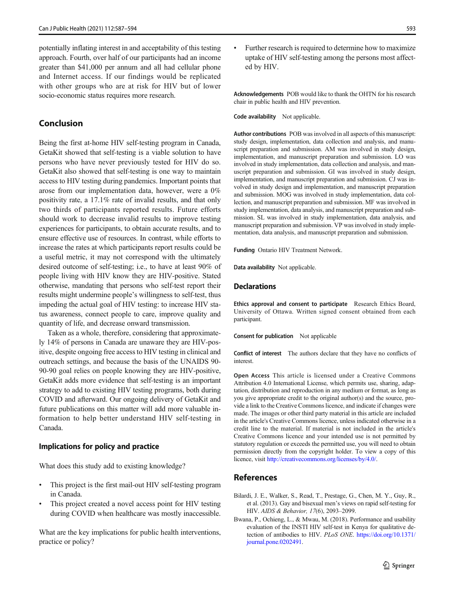potentially inflating interest in and acceptability of this testing approach. Fourth, over half of our participants had an income greater than \$41,000 per annum and all had cellular phone and Internet access. If our findings would be replicated with other groups who are at risk for HIV but of lower socio-economic status requires more research.

#### Conclusion

Being the first at-home HIV self-testing program in Canada, GetaKit showed that self-testing is a viable solution to have persons who have never previously tested for HIV do so. GetaKit also showed that self-testing is one way to maintain access to HIV testing during pandemics. Important points that arose from our implementation data, however, were a 0% positivity rate, a 17.1% rate of invalid results, and that only two thirds of participants reported results. Future efforts should work to decrease invalid results to improve testing experiences for participants, to obtain accurate results, and to ensure effective use of resources. In contrast, while efforts to increase the rates at which participants report results could be a useful metric, it may not correspond with the ultimately desired outcome of self-testing; i.e., to have at least 90% of people living with HIV know they are HIV-positive. Stated otherwise, mandating that persons who self-test report their results might undermine people's willingness to self-test, thus impeding the actual goal of HIV testing: to increase HIV status awareness, connect people to care, improve quality and quantity of life, and decrease onward transmission.

Taken as a whole, therefore, considering that approximately 14% of persons in Canada are unaware they are HIV-positive, despite ongoing free access to HIV testing in clinical and outreach settings, and because the basis of the UNAIDS 90- 90-90 goal relies on people knowing they are HIV-positive, GetaKit adds more evidence that self-testing is an important strategy to add to existing HIV testing programs, both during COVID and afterward. Our ongoing delivery of GetaKit and future publications on this matter will add more valuable information to help better understand HIV self-testing in Canada.

#### Implications for policy and practice

What does this study add to existing knowledge?

- & This project is the first mail-out HIV self-testing program in Canada.
- This project created a novel access point for HIV testing during COVID when healthcare was mostly inaccessible.

What are the key implications for public health interventions, practice or policy?

Further research is required to determine how to maximize uptake of HIV self-testing among the persons most affected by HIV.

Acknowledgements POB would like to thank the OHTN for his research chair in public health and HIV prevention.

Code availability Not applicable.

Author contributions POB was involved in all aspects of this manuscript: study design, implementation, data collection and analysis, and manuscript preparation and submission. AM was involved in study design, implementation, and manuscript preparation and submission. LO was involved in study implementation, data collection and analysis, and manuscript preparation and submission. GI was involved in study design, implementation, and manuscript preparation and submission. CJ was involved in study design and implementation, and manuscript preparation and submission. MOG was involved in study implementation, data collection, and manuscript preparation and submission. MF was involved in study implementation, data analysis, and manuscript preparation and submission. SL was involved in study implementation, data analysis, and manuscript preparation and submission. VP was involved in study implementation, data analysis, and manuscript preparation and submission.

Funding Ontario HIV Treatment Network.

Data availability Not applicable.

#### **Declarations**

Ethics approval and consent to participate Research Ethics Board, University of Ottawa. Written signed consent obtained from each participant.

Consent for publication Not applicable

Conflict of interest The authors declare that they have no conflicts of interest.

Open Access This article is licensed under a Creative Commons Attribution 4.0 International License, which permits use, sharing, adaptation, distribution and reproduction in any medium or format, as long as you give appropriate credit to the original author(s) and the source, provide a link to the Creative Commons licence, and indicate if changes were made. The images or other third party material in this article are included in the article's Creative Commons licence, unless indicated otherwise in a credit line to the material. If material is not included in the article's Creative Commons licence and your intended use is not permitted by statutory regulation or exceeds the permitted use, you will need to obtain permission directly from the copyright holder. To view a copy of this licence, visit <http://creativecommons.org/licenses/by/4.0/>.

#### References

- Bilardi, J. E., Walker, S., Read, T., Prestage, G., Chen, M. Y., Guy, R., et al. (2013). Gay and bisexual men's views on rapid self-testing for HIV. AIDS & Behavior, 17(6), 2093–2099.
- Bwana, P., Ochieng, L., & Mwau, M. (2018). Performance and usability evaluation of the INSTI HIV self-test in Kenya for qualitative detection of antibodies to HIV. PLoS ONE. [https://doi.org/10.1371/](https://doi.org/10.1371/journal.pone.0202491) [journal.pone.0202491](https://doi.org/10.1371/journal.pone.0202491).